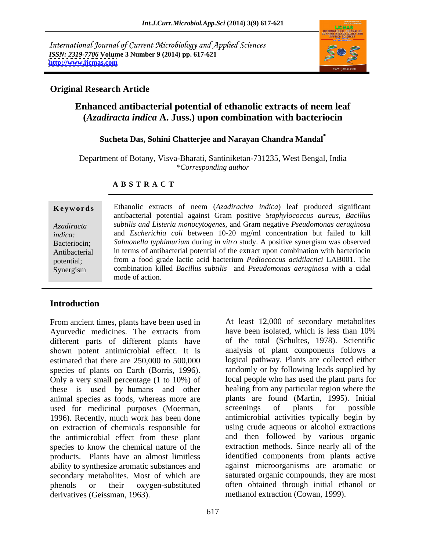International Journal of Current Microbiology and Applied Sciences *ISSN: 2319-7706* **Volume 3 Number 9 (2014) pp. 617-621 <http://www.ijcmas.com>**



### **Original Research Article**

# **Enhanced antibacterial potential of ethanolic extracts of neem leaf (***Azadiracta indica* **A. Juss.) upon combination with bacteriocin**

#### **Sucheta Das, Sohini Chatterjee and Narayan Chandra Mandal\***

Department of Botany, Visva-Bharati, Santiniketan-731235, West Bengal, India *\*Corresponding author* 

#### **A B S T R A C T**

**Ke ywo rds** Ethanolic extracts of neem (*Azadirachta indica*) leaf produced significant *Azadiracta subtilis and Listeria monocytogenes,* and Gram negative *Pseudomonas aeruginosa indica:*  and *Escherichia coli* between 10-20 mg/ml concentration but failed to kill Bacteriocin; *Salmonella typhimurium* during *in vitro* study. A positive synergism was observed Antibacterial in terms of antibacterial potential of the extract upon combination with bacteriocin potential; from a food grade lactic acid bacterium *Pediococcus acidilactici* LAB001. The Synergism combination killed *Bacillus subtilis* and *Pseudomonas aeruginosa* with a cidal antibacterial potential against Gram positive *Staphylococcus aureus, Bacillus* mode of action.

## **Introduction**

From ancient times, plants have been used in At least 12,000 of secondary metabolites Avurvedic medicines. The extracts from have been isolated, which is less than 10% Ayurvedic medicines. The extracts from different parts of different plants have shown potent antimicrobial effect. It is estimated that there are 250,000 to 500,000 species of plants on Earth (Borris, 1996). Only a very small percentage (1 to 10%) of these is used by humans and other animal species as foods, whereas more are used for medicinal purposes (Moerman, screenings of plants for possible 1996). Recently, much work has been done on extraction of chemicals responsible for the antimicrobial effect from these plant species to know the chemical nature of the products. Plants have an almost limitless ability to synthesize aromatic substances and secondary metabolites. Most of which are phenols or their oxygen-substituted often obtained through initial ethanol or derivatives (Geissman, 1963). methanol extraction (Cowan, 1999).

At least 12,000 of secondary metabolites have been isolated, which is less than 10% of the total (Schultes,1978). Scientific analysis of plant components follows a logical pathway. Plants are collected either randomly or by following leads supplied by local people who has used the plant parts for healing from any particular region where the plants are found (Martin, 1995). Initial screenings of plants for possible antimicrobial activities typically begin by using crude aqueous or alcohol extractions and then followed by various organic extraction methods. Since nearly all of the identified components from plants active against microorganisms are aromatic or saturated organic compounds, they are most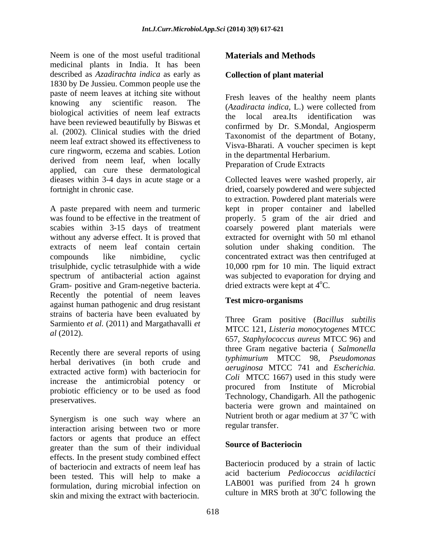Neem is one of the most useful traditional medicinal plants in India. It has been described as *Azadirachta indica* as early as 1830 by De Jussieu. Common people use the paste of neem leaves at itching site without knowing any scientific reason. The *Calculture CAzadiracta indica*, L.) were collected from biological activities of neem leaf extracts<br>the local area Its identification was have been reviewed beautifully by Biswas et al. (2002). Clinical studies with the dried neem leaf extract showed its effectiveness to cure ringworm, eczema and scabies. Lotion derived from neem leaf, when locally applied, can cure these dermatological dieases within 3-4 days in acute stage or a Collected leaves were washed properly, air fortnight in chronic case. dried, coarsely powdered and were subjected

A paste prepared with neem and turmeric kept in proper container and labelled was found to be effective in the treatment of properly. 5 gram of the air dried and scabies within 3-15 days of treatment coarsely powered plant materials were without any adverse effect. It is proved that extracted for overnight with 50 ml ethanol extracts of neem leaf contain certain solution under shaking condition. The compounds like nimbidine, cyclic concentrated extract was then centrifuged at trisulphide, cyclic tetrasulphide with a wide 10,000 rpm for 10 min. The liquid extract spectrum of antibacterial action against was subjected to evaporation for drying and Gram- positive and Gram-negetive bacteria. Recently the potential of neem leaves against human pathogenic and drug resistant strains of bacteria have been evaluated by Sarmiento *et al.* (2011) and Margathavalli *et* 

Recently there are several reports of using herbal derivatives (in both crude and *typhimurium* MICC 98, *Pseudomonds*<br>aeruginosa MTCC 741 and *Escherichia*. extracted active form) with bacteriocin for<br>Coli MTCC 1667) used in this study were increase the antimicrobial potency or probiotic efficiency or to be used as food

Synergism is one such way where an interaction arising between two or more factors or agents that produce an effect<br>strategy of their individual **Source of Bacteriocin** greater than the sum of their individual effects. In the present study combined effect of bacteriocin and extracts of neem leaf has **Bacteriocin** produced by a strain of factic been tested. This will help to make a formulation, during microbial infection on skin and mixing the extract with bacteriocin.

## **Materials and Methods**

### **Collection of plant material**

Fresh leaves of the healthy neem plants (*Azadiracta indica,* L.) were collected from the local area.Its identification confirmed by Dr. S.Mondal, Angiosperm Taxonomist of the department of Botany, Visva-Bharati. A voucher specimen is kept in the departmental Herbarium. Preparation of Crude Extracts

to extraction. Powdered plant materials were dried extracts were kept at 4<sup>o</sup>C.

### **Test micro-organisms**

*al* (2012). 657, *Staphylococcus aureus* MTCC 96) and preservatives.<br>
bacteria were grown and maintained on Three Gram positive (*Bacillus subtilis* MTCC 121, *Listeria monocytogenes* MTCC three Gram negative bacteria ( *Salmonella typhimurium* MTCC 98, *Pseudomonas aeruginosa* MTCC <sup>741</sup> and *Escherichia. Coli* MTCC 1667) used in this study were procured from Institute of Microbial Technology, Chandigarh. All the pathogenic Nutrient broth or agar medium at  $37^{\circ}$ C with <sup>o</sup>C with regular transfer.

### **Source of Bacteriocin**

Bacteriocin produced by a strain of lactic acid bacterium *Pediococcus acidilactici* LAB001 was purified from 24 h grown culture in MRS broth at 30<sup>o</sup>C following the <sup>o</sup>C following the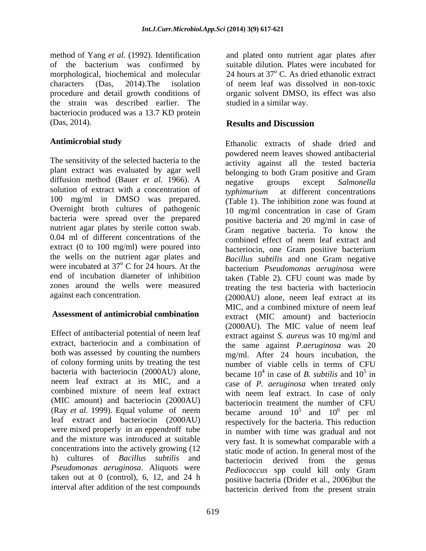method of Yang *et al.* (1992). Identification of the bacterium was confirmed by suitable dilution. Plates were incubated for morphological, biochemical and molecular 24 hours at 37°C. As dried ethanolic extract characters (Das, 2014).The isolation of neem leaf was dissolved in non-toxic procedure and detail growth conditions of organic solvent DMSO, its effect was also the strain was described earlier. The bacteriocin produced was a 13.7 KD protein (Das, 2014). **Results and Discussion** 

The sensitivity of the selected bacteria to the diffusion method (Bauer *et al.* 1966). A negative groups except Salmonella solution of extract with a concentration of  $typhimurium$  at different concentrations 100 mg/ml in DMSO was prepared. bacteria were spread over the prepared nutrient agar plates by sterile cotton swab. extract (0 to 100 mg/ml) were poured into the wells on the nutrient agar plates and

of colony forming units by treating the test (MIC amount) and bacteriocin (2000AU) leaf extract and bacteriocin (2000AU) were mixed properly in an eppendroff tube concentrations into the actively growing (12 h) cultures of *Bacillus subtilis* and taken out at  $0$  (control), 6, 12, and 24 h interval after addition of the test compounds

and plated onto nutrient agar plates after studied in a similar way.

## **Results and Discussion**

**Antimicrobial study** Ethanolic extracts of shade dried and plant extract was evaluated by agar well belonging to both Gram positive and Gram Overnight broth cultures of pathogenic 10 mg/ml concentration in case of Gram 0.04 ml of different concentrations of the combined effect of neem leaf extract and were incubated at 37<sup>°</sup> C for 24 hours. At the bacterium *Pseudomonas aeruginosa* were end of incubation diameter of inhibition taken (Table 2). CFU count was made by zones around the wells were measured treating the test bacteria with bacteriocin against each concentration. (2000AU) alone, neem leaf extract at its **Assessment of antimicrobial combination**  extract (MIC amount) and bacteriocin Effect of antibacterial potential of neem leaf<br>extract against S, *aureus* was 10 mg/ml and extract, bacteriocin and a combination of the same against *P.aeruginosa* was 20 both was assessed by counting the numbers mg/ml. After 24 hours incubation, the bacteria with bacteriocin (2000AU) alone, became  $10^4$  in case of *B. subtilis* and  $10^5$  in neem leaf extract at its MIC, and a case of *P. aeruginosa* when treated only combined mixture of neem leaf extract with neem leaf extract. In case of only (Ray *et al.* 1999). Equal volume of neem became around  $10^5$  and  $10^6$  per ml and the mixture was introduced at suitable very fast. It is somewhat comparable with a Pseudomonas aeruginosa. Aliquots were *Pediococcus* spp could kill only Gram powdered neem leaves showed antibacterial activity against all the tested bacteria negative groups except *Salmonella typhimurium* at different concentrations (Table 1). The inhibition zone was found at positive bacteria and 20 mg/ml in case of Gram negative bacteria. To know the bacteriocin, one Gram positive bacterium *Bacillus subtilis* and one Gram negative MIC, and a combined mixture of neem leaf (2000AU). The MIC value of neem leaf extract against *S. aureus* was 10 mg/ml and number of viable cells in terms of CFU  $5 \text{ in}$ in bacteriocin treatment the number of CFU  $5$  and  $10^6$  per ml  $6 \text{mm}$  m per ml respectively for the bacteria. This reduction in number with time was gradual and not static mode of action. In general most of the bacteriocin derived from the genus positive bacteria (Drider et al., 2006)but the bactericin derived from the present strain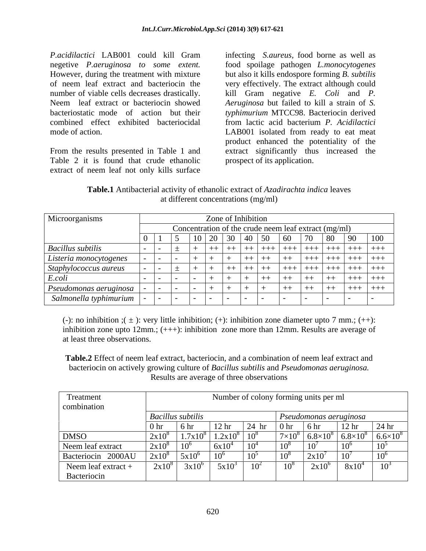*P.acidilactici* LAB001 could kill Gram infecting *S.aureus,* food borne as well as negetive *P.aeruginosa to some extent.* food spoilage pathogen *L.monocytogenes* However, during the treatment with mixture but also it kills endospore forming *B. subtilis*  of neem leaf extract and bacteriocin the very effectively. The extract although could number of viable cells decreases drastically. kill Gram negative *E. Coli* and *P.*  Neem leaf extract or bacteriocin showed *Aeruginosa* but failed to kill a strain of *S.*  bacteriostatic mode of action but their *typhimurium* MTCC98. Bacteriocin derived combined effect exhibited bacteriocidal from lactic acid bacterium *P. Acidilactici*

From the results presented in Table 1 and Table 2 it is found that crude ethanolic extract of neem leaf not only kills surface

mode of action. The same state of action. The LAB001 isolated from ready to eat meat product enhanced the potentiality of the extract significantly thus increased the prospect of its application.

**Table.1** Antibacterial activity of ethanolic extract of *Azadirachta indica* leaves at different concentrations (mg/ml)

| Microorganisms               | Zone of Inhibition                                   |  |  |  |                      |                           |                               |            |                       |               |     |
|------------------------------|------------------------------------------------------|--|--|--|----------------------|---------------------------|-------------------------------|------------|-----------------------|---------------|-----|
|                              | Concentration of the crude neem leaf extract (mg/ml) |  |  |  |                      |                           |                               |            |                       |               |     |
|                              |                                                      |  |  |  | $30 \mid 40 \mid 50$ |                           | $\vert$ 60                    | $\sqrt{2}$ |                       | 90            | 100 |
| <b>Bacillus subtilis</b>     |                                                      |  |  |  |                      | <b>。   ++  +++    +</b> - | │ ┼┼┼ │ ┼┼┼ │ ┼┼┼ │ ┼┼┼ │ ┼┼┼ |            |                       |               |     |
| Listeria monocytogenes       |                                                      |  |  |  |                      |                           | $+ +$                         |            |                       |               |     |
| Staphylococcus aureus        |                                                      |  |  |  |                      |                           | $^{+++}$                      |            | +++   +++   +++   +++ |               |     |
| E.coli                       |                                                      |  |  |  |                      |                           | $+ +$                         |            | $+ +$                 | .   +++   +++ |     |
| Pseudomonas aeruginosa       |                                                      |  |  |  |                      |                           |                               | $++$       | . ++                  | $+++$ $+++$   |     |
| $Salmonella typhimurium$   - |                                                      |  |  |  | $\blacksquare$       |                           |                               |            |                       | $\sim$        |     |

(-): no inhibition ;( $\pm$ ): very little inhibition; (+): inhibition zone diameter upto 7 mm.; (++): inhibition zone upto 12mm.; (+++): inhibition zone more than 12mm. Results are average of at least three observations.

**Table.2** Effect of neem leaf extract, bacteriocin, and a combination of neem leaf extract and bacteriocin on actively growing culture of *Bacillus subtilis* and *Pseudomonas aeruginosa.* Results are average of three observations

| Treatment           |                 |                          |                  |         |                 | Number of colony forming units per ml |                               |                   |
|---------------------|-----------------|--------------------------|------------------|---------|-----------------|---------------------------------------|-------------------------------|-------------------|
| combination         |                 |                          |                  |         |                 |                                       |                               |                   |
|                     |                 | <b>Bacillus subtilis</b> |                  |         |                 |                                       | $\mid$ Pseudomonas aeruginosa |                   |
|                     | 0 <sub>hr</sub> | -6 hr                    | 12 <sub>hr</sub> | $24$ hr | $\vert$ 0 hr    | 6 hr                                  | 12 <sup>hr</sup>              | 24 <sub>hr</sub>  |
| <b>DMSO</b>         | $2x10^8$        | $1.7x10^{8}$             | $1.2x10^8$       |         | $7\times10$     | $6.8\times10^8$                       | $6.8\times10^{8}$             | $6.6\times10^{8}$ |
| Neem leaf extract   | $2x10^8$        | $10^6$                   | 6x10             | ΙV      | 10 <sup>8</sup> | $10^7$                                | 10 <sup>6</sup>               |                   |
| Bacteriocin 2000AU  | $2x10^8$        | $5x10^{\circ}$           |                  | ιv      | 10 <sup>8</sup> | $2x10^7$                              | $10^7$                        |                   |
| Neem leaf extract + | $2x10^{\circ}$  | 3x10'                    | 5x10             |         |                 | $2x10^\circ$                          | 8x10                          | ∗⊽                |
| Bacteriocin         |                 |                          |                  |         |                 |                                       |                               |                   |